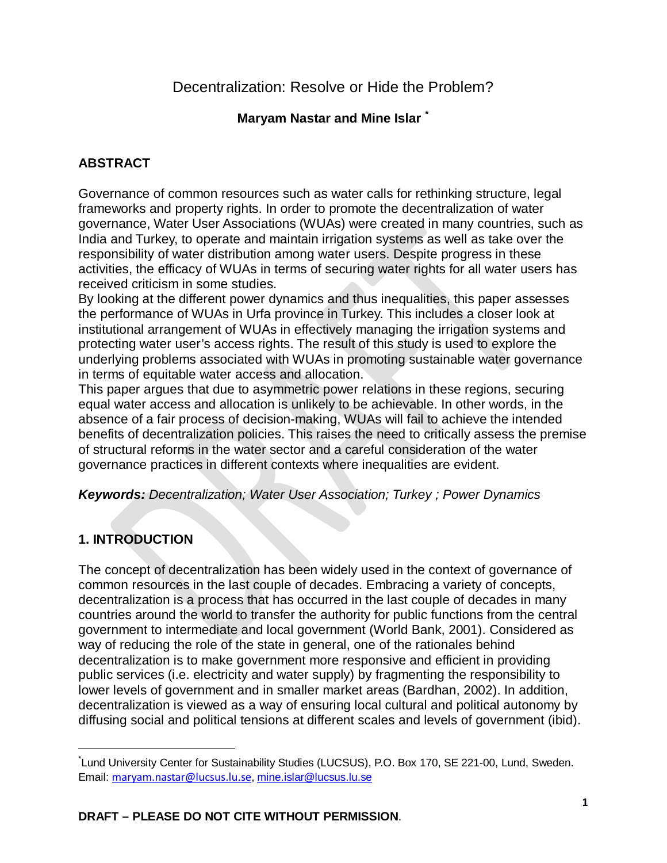**Maryam Nastar and Mine Islar [\\*](#page-0-0)**

# **ABSTRACT**

Governance of common resources such as water calls for rethinking structure, legal frameworks and property rights. In order to promote the decentralization of water governance, Water User Associations (WUAs) were created in many countries, such as India and Turkey, to operate and maintain irrigation systems as well as take over the responsibility of water distribution among water users. Despite progress in these activities, the efficacy of WUAs in terms of securing water rights for all water users has received criticism in some studies.

By looking at the different power dynamics and thus inequalities, this paper assesses the performance of WUAs in Urfa province in Turkey. This includes a closer look at institutional arrangement of WUAs in effectively managing the irrigation systems and protecting water user's access rights. The result of this study is used to explore the underlying problems associated with WUAs in promoting sustainable water governance in terms of equitable water access and allocation.

This paper argues that due to asymmetric power relations in these regions, securing equal water access and allocation is unlikely to be achievable. In other words, in the absence of a fair process of decision-making, WUAs will fail to achieve the intended benefits of decentralization policies. This raises the need to critically assess the premise of structural reforms in the water sector and a careful consideration of the water governance practices in different contexts where inequalities are evident.

## *Keywords: Decentralization; Water User Association; Turkey ; Power Dynamics*

# **1. INTRODUCTION**

l

The concept of decentralization has been widely used in the context of governance of common resources in the last couple of decades. Embracing a variety of concepts, decentralization is a process that has occurred in the last couple of decades in many countries around the world to transfer the authority for public functions from the central government to intermediate and local government (World Bank, 2001). Considered as way of reducing the role of the state in general, one of the rationales behind decentralization is to make government more responsive and efficient in providing public services (i.e. electricity and water supply) by fragmenting the responsibility to lower levels of government and in smaller market areas (Bardhan, 2002). In addition, decentralization is viewed as a way of ensuring local cultural and political autonomy by diffusing social and political tensions at different scales and levels of government (ibid).

<span id="page-0-0"></span>Lund University Center for Sustainability Studies (LUCSUS), P.O. Box 170, SE 221-00, Lund, Sweden. Email: maryam.nastar@lucsus.lu.se, [mine.islar@lucsus.lu.se](mailto:mine.islar@lucsus.lu.se)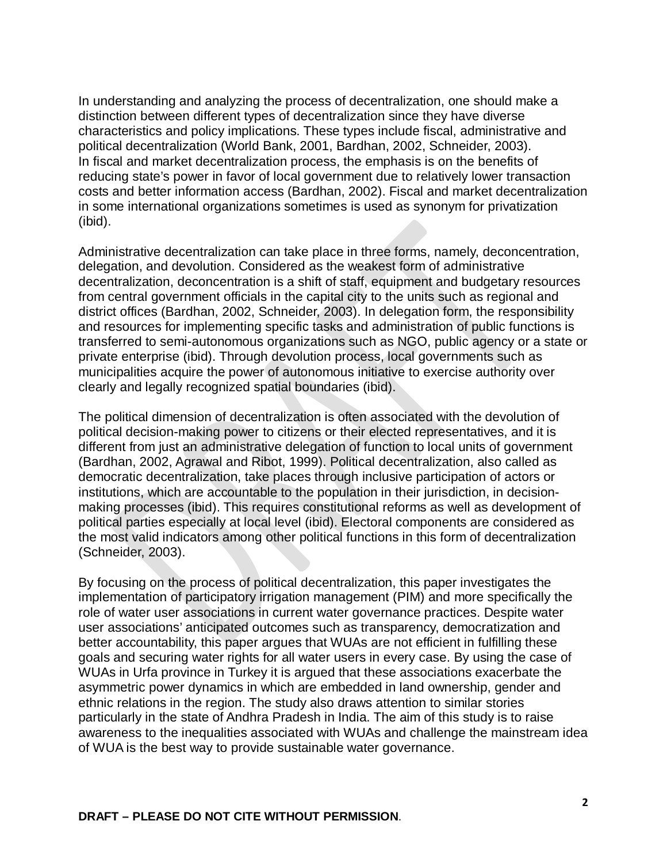In understanding and analyzing the process of decentralization, one should make a distinction between different types of decentralization since they have diverse characteristics and policy implications. These types include fiscal, administrative and political decentralization (World Bank, 2001, Bardhan, 2002, Schneider, 2003). In fiscal and market decentralization process, the emphasis is on the benefits of reducing state's power in favor of local government due to relatively lower transaction costs and better information access (Bardhan, 2002). Fiscal and market decentralization in some international organizations sometimes is used as synonym for privatization (ibid).

Administrative decentralization can take place in three forms, namely, deconcentration, delegation, and devolution. Considered as the weakest form of administrative decentralization, deconcentration is a shift of staff, equipment and budgetary resources from central government officials in the capital city to the units such as regional and district offices (Bardhan, 2002, Schneider, 2003). In delegation form, the responsibility and resources for implementing specific tasks and administration of public functions is transferred to semi-autonomous organizations such as NGO, public agency or a state or private enterprise (ibid). Through devolution process, local governments such as municipalities acquire the power of autonomous initiative to exercise authority over clearly and legally recognized spatial boundaries (ibid).

The political dimension of decentralization is often associated with the devolution of political decision-making power to citizens or their elected representatives, and it is different from just an administrative delegation of function to local units of government (Bardhan, 2002, Agrawal and Ribot, 1999). Political decentralization, also called as democratic decentralization, take places through inclusive participation of actors or institutions, which are accountable to the population in their jurisdiction, in decisionmaking processes (ibid). This requires constitutional reforms as well as development of political parties especially at local level (ibid). Electoral components are considered as the most valid indicators among other political functions in this form of decentralization (Schneider, 2003).

By focusing on the process of political decentralization, this paper investigates the implementation of participatory irrigation management (PIM) and more specifically the role of water user associations in current water governance practices. Despite water user associations' anticipated outcomes such as transparency, democratization and better accountability, this paper argues that WUAs are not efficient in fulfilling these goals and securing water rights for all water users in every case. By using the case of WUAs in Urfa province in Turkey it is argued that these associations exacerbate the asymmetric power dynamics in which are embedded in land ownership, gender and ethnic relations in the region. The study also draws attention to similar stories particularly in the state of Andhra Pradesh in India. The aim of this study is to raise awareness to the inequalities associated with WUAs and challenge the mainstream idea of WUA is the best way to provide sustainable water governance.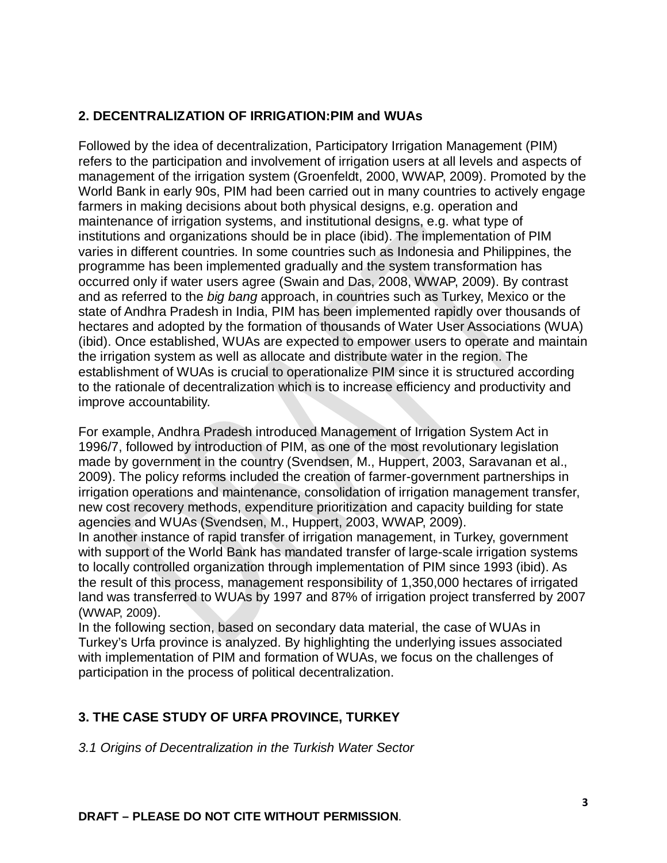# **2. DECENTRALIZATION OF IRRIGATION:PIM and WUAs**

Followed by the idea of decentralization, Participatory Irrigation Management (PIM) refers to the participation and involvement of irrigation users at all levels and aspects of management of the irrigation system (Groenfeldt, 2000, WWAP, 2009). Promoted by the World Bank in early 90s, PIM had been carried out in many countries to actively engage farmers in making decisions about both physical designs, e.g. operation and maintenance of irrigation systems, and institutional designs, e.g. what type of institutions and organizations should be in place (ibid). The implementation of PIM varies in different countries. In some countries such as Indonesia and Philippines, the programme has been implemented gradually and the system transformation has occurred only if water users agree (Swain and Das, 2008, WWAP, 2009). By contrast and as referred to the *big bang* approach, in countries such as Turkey, Mexico or the state of Andhra Pradesh in India, PIM has been implemented rapidly over thousands of hectares and adopted by the formation of thousands of Water User Associations (WUA) (ibid). Once established, WUAs are expected to empower users to operate and maintain the irrigation system as well as allocate and distribute water in the region. The establishment of WUAs is crucial to operationalize PIM since it is structured according to the rationale of decentralization which is to increase efficiency and productivity and improve accountability.

For example, Andhra Pradesh introduced Management of Irrigation System Act in 1996/7, followed by introduction of PIM, as one of the most revolutionary legislation made by government in the country (Svendsen, M., Huppert, 2003, Saravanan et al., 2009). The policy reforms included the creation of farmer-government partnerships in irrigation operations and maintenance, consolidation of irrigation management transfer, new cost recovery methods, expenditure prioritization and capacity building for state agencies and WUAs (Svendsen, M., Huppert, 2003, WWAP, 2009).

In another instance of rapid transfer of irrigation management, in Turkey, government with support of the World Bank has mandated transfer of large-scale irrigation systems to locally controlled organization through implementation of PIM since 1993 (ibid). As the result of this process, management responsibility of 1,350,000 hectares of irrigated land was transferred to WUAs by 1997 and 87% of irrigation project transferred by 2007 (WWAP, 2009).

In the following section, based on secondary data material, the case of WUAs in Turkey's Urfa province is analyzed. By highlighting the underlying issues associated with implementation of PIM and formation of WUAs, we focus on the challenges of participation in the process of political decentralization.

## **3. THE CASE STUDY OF URFA PROVINCE, TURKEY**

*3.1 Origins of Decentralization in the Turkish Water Sector*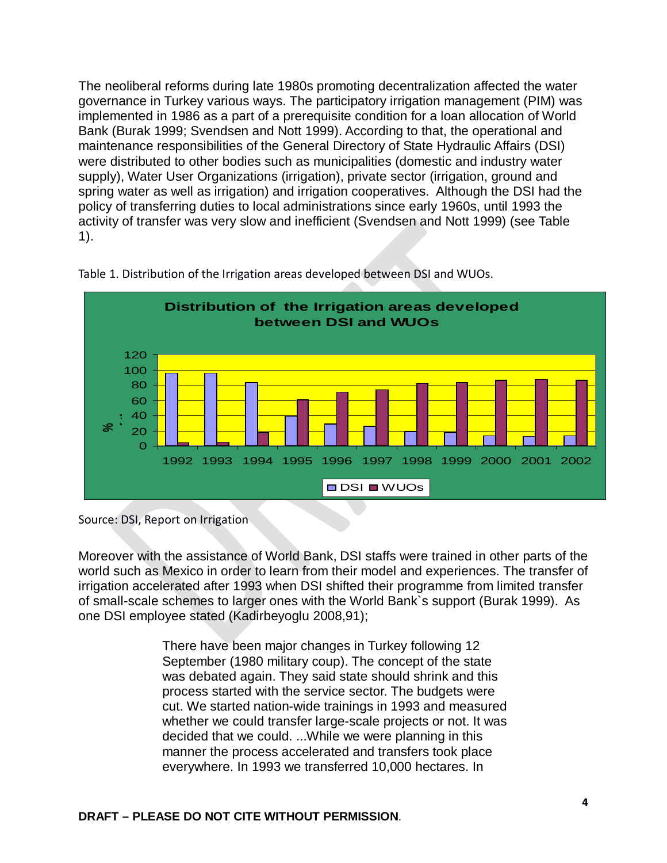The neoliberal reforms during late 1980s promoting decentralization affected the water governance in Turkey various ways. The participatory irrigation management (PIM) was implemented in 1986 as a part of a prerequisite condition for a loan allocation of World Bank (Burak 1999; Svendsen and Nott 1999). According to that, the operational and maintenance responsibilities of the General Directory of State Hydraulic Affairs (DSI) were distributed to other bodies such as municipalities (domestic and industry water supply), Water User Organizations (irrigation), private sector (irrigation, ground and spring water as well as irrigation) and irrigation cooperatives. Although the DSI had the policy of transferring duties to local administrations since early 1960s, until 1993 the activity of transfer was very slow and inefficient (Svendsen and Nott 1999) (see Table 1).



Table 1. Distribution of the Irrigation areas developed between DSI and WUOs.

Moreover with the assistance of World Bank, DSI staffs were trained in other parts of the world such as Mexico in order to learn from their model and experiences. The transfer of irrigation accelerated after 1993 when DSI shifted their programme from limited transfer of small-scale schemes to larger ones with the World Bank`s support (Burak 1999). As one DSI employee stated (Kadirbeyoglu 2008,91);

> There have been major changes in Turkey following 12 September (1980 military coup). The concept of the state was debated again. They said state should shrink and this process started with the service sector. The budgets were cut. We started nation-wide trainings in 1993 and measured whether we could transfer large-scale projects or not. It was decided that we could. ...While we were planning in this manner the process accelerated and transfers took place everywhere. In 1993 we transferred 10,000 hectares. In

Source: DSI, Report on Irrigation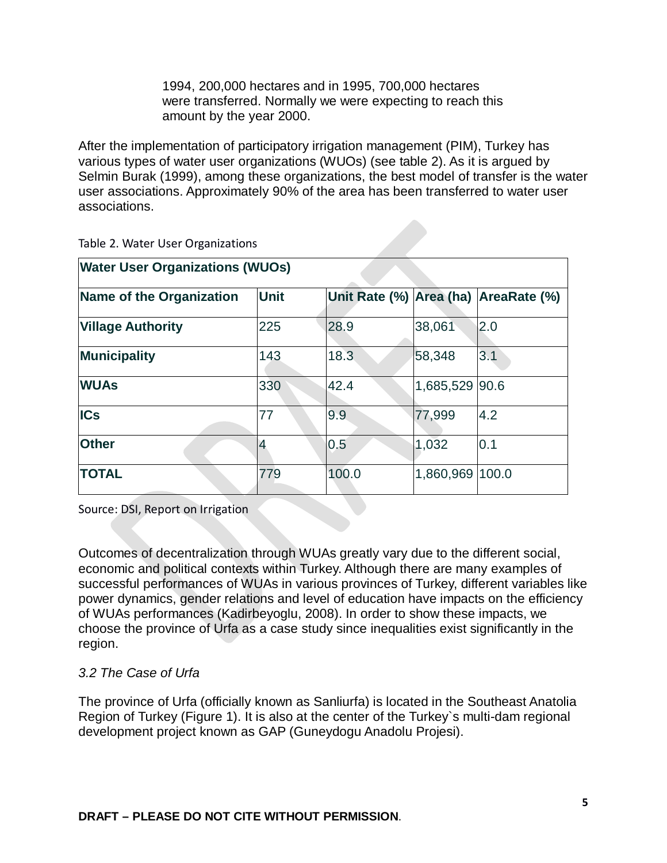1994, 200,000 hectares and in 1995, 700,000 hectares were transferred. Normally we were expecting to reach this amount by the year 2000.

After the implementation of participatory irrigation management (PIM), Turkey has various types of water user organizations (WUOs) (see table 2). As it is argued by Selmin Burak (1999), among these organizations, the best model of transfer is the water user associations. Approximately 90% of the area has been transferred to water user associations.

| <b>Water User Organizations (WUOs)</b> |                |       |                |                                      |  |  |
|----------------------------------------|----------------|-------|----------------|--------------------------------------|--|--|
| Name of the Organization               | <b>Unit</b>    |       |                | Unit Rate (%) Area (ha) AreaRate (%) |  |  |
| <b>Village Authority</b>               | 225            | 28.9  | 38,061         | 2.0                                  |  |  |
| <b>Municipality</b>                    | 143            | 18.3  | 58,348         | 3.1                                  |  |  |
| <b>WUAs</b>                            | 330            | 42.4  | 1,685,529 90.6 |                                      |  |  |
| <b>ICs</b>                             | 77             | 9.9   | 77,999         | 4.2                                  |  |  |
| <b>Other</b>                           | $\overline{4}$ | 0.5   | 1,032          | 0.1                                  |  |  |
| <b>TOTAL</b>                           | 779            | 100.0 | 1,860,969      | 100.0                                |  |  |

Table 2. Water User Organizations

Source: DSI, Report on Irrigation

Outcomes of decentralization through WUAs greatly vary due to the different social, economic and political contexts within Turkey. Although there are many examples of successful performances of WUAs in various provinces of Turkey, different variables like power dynamics, gender relations and level of education have impacts on the efficiency of WUAs performances (Kadirbeyoglu, 2008). In order to show these impacts, we choose the province of Urfa as a case study since inequalities exist significantly in the region.

### *3.2 The Case of Urfa*

The province of Urfa (officially known as Sanliurfa) is located in the Southeast Anatolia Region of Turkey (Figure 1). It is also at the center of the Turkey`s multi-dam regional development project known as GAP (Guneydogu Anadolu Projesi).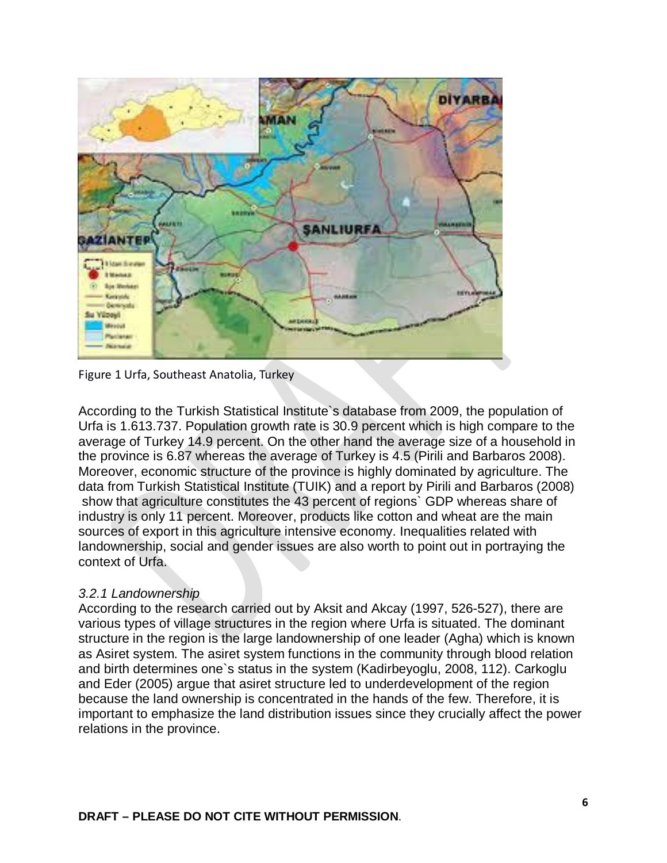

Figure 1 Urfa, Southeast Anatolia, Turkey

According to the Turkish Statistical Institute`s database from 2009, the population of Urfa is 1.613.737. Population growth rate is 30.9 percent which is high compare to the average of Turkey 14.9 percent. On the other hand the average size of a household in the province is 6.87 whereas the average of Turkey is 4.5 (Pirili and Barbaros 2008). Moreover, economic structure of the province is highly dominated by agriculture. The data from Turkish Statistical Institute (TUIK) and a report by Pirili and Barbaros (2008) show that agriculture constitutes the 43 percent of regions` GDP whereas share of industry is only 11 percent. Moreover, products like cotton and wheat are the main sources of export in this agriculture intensive economy. Inequalities related with landownership, social and gender issues are also worth to point out in portraying the context of Urfa.

### *3.2.1 Landownership*

According to the research carried out by Aksit and Akcay (1997, 526-527), there are various types of village structures in the region where Urfa is situated. The dominant structure in the region is the large landownership of one leader (Agha) which is known as Asiret system. The asiret system functions in the community through blood relation and birth determines one`s status in the system (Kadirbeyoglu, 2008, 112). Carkoglu and Eder (2005) argue that asiret structure led to underdevelopment of the region because the land ownership is concentrated in the hands of the few. Therefore, it is important to emphasize the land distribution issues since they crucially affect the power relations in the province.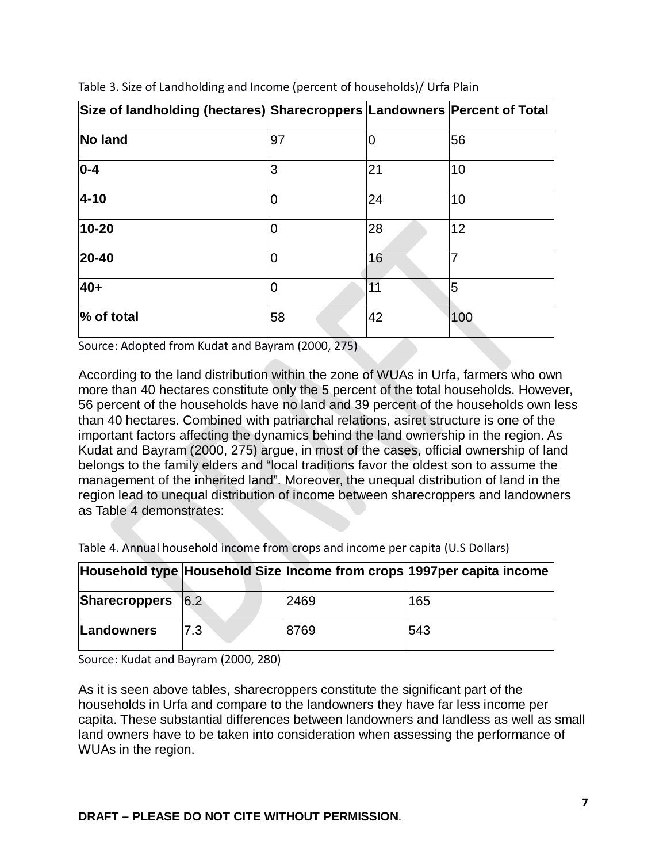| Size of landholding (hectares) Sharecroppers Landowners Percent of Total |    |    |     |
|--------------------------------------------------------------------------|----|----|-----|
| <b>No land</b>                                                           | 97 | 0  | 56  |
| $ 0-4 $                                                                  | 3  | 21 | 10  |
| $4 - 10$                                                                 |    | 24 | 10  |
| 10-20                                                                    |    | 28 | 12  |
| 20-40                                                                    |    | 16 |     |
| $40+$                                                                    |    | 11 | 5   |
| % of total                                                               | 58 | 42 | 100 |

Table 3. Size of Landholding and Income (percent of households)/ Urfa Plain

Source: Adopted from Kudat and Bayram (2000, 275)

According to the land distribution within the zone of WUAs in Urfa, farmers who own more than 40 hectares constitute only the 5 percent of the total households. However, 56 percent of the households have no land and 39 percent of the households own less than 40 hectares. Combined with patriarchal relations, asiret structure is one of the important factors affecting the dynamics behind the land ownership in the region. As Kudat and Bayram (2000, 275) argue, in most of the cases, official ownership of land belongs to the family elders and "local traditions favor the oldest son to assume the management of the inherited land". Moreover, the unequal distribution of land in the region lead to unequal distribution of income between sharecroppers and landowners as Table 4 demonstrates:

|                   |     |      | Household type Household Size Income from crops 1997 per capita income |
|-------------------|-----|------|------------------------------------------------------------------------|
| Sharecroppers 6.2 |     | 2469 | 165                                                                    |
| Landowners        | 7.3 | 8769 | 543                                                                    |

Table 4. Annual household income from crops and income per capita (U.S Dollars)

Source: Kudat and Bayram (2000, 280)

As it is seen above tables, sharecroppers constitute the significant part of the households in Urfa and compare to the landowners they have far less income per capita. These substantial differences between landowners and landless as well as small land owners have to be taken into consideration when assessing the performance of WUAs in the region.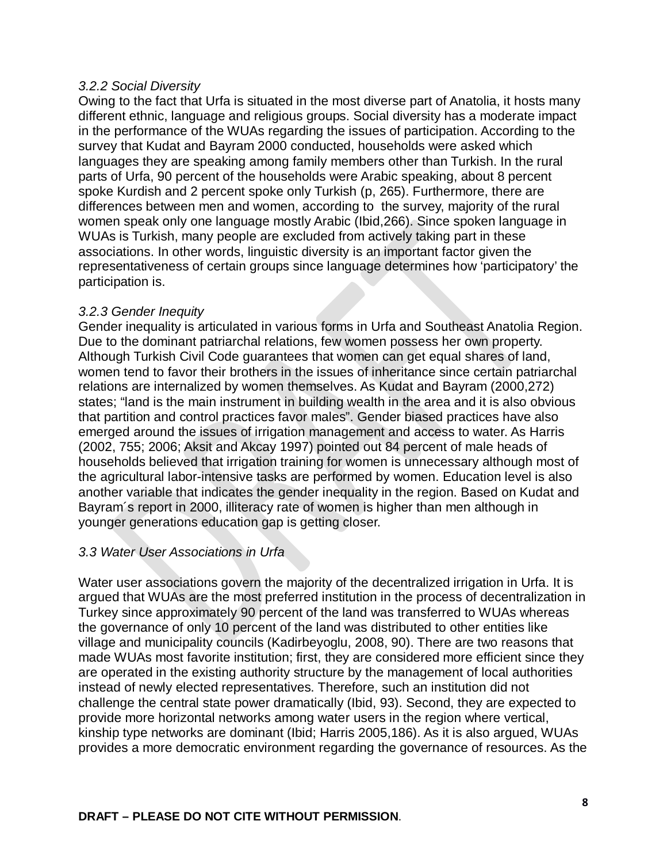#### *3.2.2 Social Diversity*

Owing to the fact that Urfa is situated in the most diverse part of Anatolia, it hosts many different ethnic, language and religious groups. Social diversity has a moderate impact in the performance of the WUAs regarding the issues of participation. According to the survey that Kudat and Bayram 2000 conducted, households were asked which languages they are speaking among family members other than Turkish. In the rural parts of Urfa, 90 percent of the households were Arabic speaking, about 8 percent spoke Kurdish and 2 percent spoke only Turkish (p, 265). Furthermore, there are differences between men and women, according to the survey, majority of the rural women speak only one language mostly Arabic (Ibid,266). Since spoken language in WUAs is Turkish, many people are excluded from actively taking part in these associations. In other words, linguistic diversity is an important factor given the representativeness of certain groups since language determines how 'participatory' the participation is.

#### *3.2.3 Gender Inequity*

Gender inequality is articulated in various forms in Urfa and Southeast Anatolia Region. Due to the dominant patriarchal relations, few women possess her own property. Although Turkish Civil Code guarantees that women can get equal shares of land, women tend to favor their brothers in the issues of inheritance since certain patriarchal relations are internalized by women themselves. As Kudat and Bayram (2000,272) states; "land is the main instrument in building wealth in the area and it is also obvious that partition and control practices favor males". Gender biased practices have also emerged around the issues of irrigation management and access to water. As Harris (2002, 755; 2006; Aksit and Akcay 1997) pointed out 84 percent of male heads of households believed that irrigation training for women is unnecessary although most of the agricultural labor-intensive tasks are performed by women. Education level is also another variable that indicates the gender inequality in the region. Based on Kudat and Bayram´s report in 2000, illiteracy rate of women is higher than men although in younger generations education gap is getting closer.

### *3.3 Water User Associations in Urfa*

Water user associations govern the majority of the decentralized irrigation in Urfa. It is argued that WUAs are the most preferred institution in the process of decentralization in Turkey since approximately 90 percent of the land was transferred to WUAs whereas the governance of only 10 percent of the land was distributed to other entities like village and municipality councils (Kadirbeyoglu, 2008, 90). There are two reasons that made WUAs most favorite institution; first, they are considered more efficient since they are operated in the existing authority structure by the management of local authorities instead of newly elected representatives. Therefore, such an institution did not challenge the central state power dramatically (Ibid, 93). Second, they are expected to provide more horizontal networks among water users in the region where vertical, kinship type networks are dominant (Ibid; Harris 2005,186). As it is also argued, WUAs provides a more democratic environment regarding the governance of resources. As the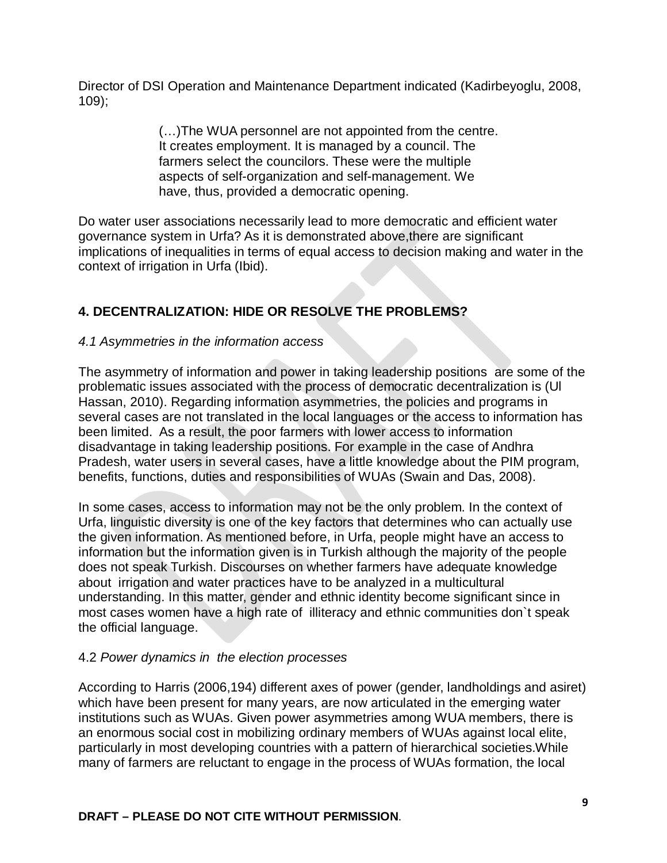Director of DSI Operation and Maintenance Department indicated (Kadirbeyoglu, 2008, 109);

> (…)The WUA personnel are not appointed from the centre. It creates employment. It is managed by a council. The farmers select the councilors. These were the multiple aspects of self-organization and self-management. We have, thus, provided a democratic opening.

Do water user associations necessarily lead to more democratic and efficient water governance system in Urfa? As it is demonstrated above,there are significant implications of inequalities in terms of equal access to decision making and water in the context of irrigation in Urfa (Ibid).

# **4. DECENTRALIZATION: HIDE OR RESOLVE THE PROBLEMS?**

### *4.1 Asymmetries in the information access*

The asymmetry of information and power in taking leadership positions are some of the problematic issues associated with the process of democratic decentralization is (Ul Hassan, 2010). Regarding information asymmetries, the policies and programs in several cases are not translated in the local languages or the access to information has been limited. As a result, the poor farmers with lower access to information disadvantage in taking leadership positions. For example in the case of Andhra Pradesh, water users in several cases, have a little knowledge about the PIM program, benefits, functions, duties and responsibilities of WUAs (Swain and Das, 2008).

In some cases, access to information may not be the only problem. In the context of Urfa, linguistic diversity is one of the key factors that determines who can actually use the given information. As mentioned before, in Urfa, people might have an access to information but the information given is in Turkish although the majority of the people does not speak Turkish. Discourses on whether farmers have adequate knowledge about irrigation and water practices have to be analyzed in a multicultural understanding. In this matter, gender and ethnic identity become significant since in most cases women have a high rate of illiteracy and ethnic communities don`t speak the official language.

## 4.2 *Power dynamics in the election processes*

According to Harris (2006,194) different axes of power (gender, landholdings and asiret) which have been present for many years, are now articulated in the emerging water institutions such as WUAs. Given power asymmetries among WUA members, there is an enormous social cost in mobilizing ordinary members of WUAs against local elite, particularly in most developing countries with a pattern of hierarchical societies.While many of farmers are reluctant to engage in the process of WUAs formation, the local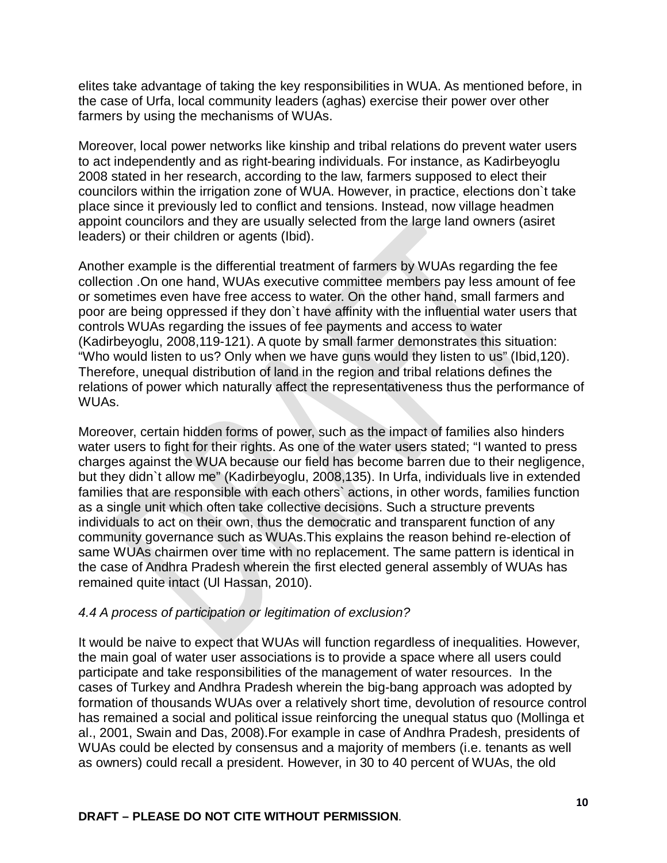elites take advantage of taking the key responsibilities in WUA. As mentioned before, in the case of Urfa, local community leaders (aghas) exercise their power over other farmers by using the mechanisms of WUAs.

Moreover, local power networks like kinship and tribal relations do prevent water users to act independently and as right-bearing individuals. For instance, as Kadirbeyoglu 2008 stated in her research, according to the law, farmers supposed to elect their councilors within the irrigation zone of WUA. However, in practice, elections don`t take place since it previously led to conflict and tensions. Instead, now village headmen appoint councilors and they are usually selected from the large land owners (asiret leaders) or their children or agents (Ibid).

Another example is the differential treatment of farmers by WUAs regarding the fee collection .On one hand, WUAs executive committee members pay less amount of fee or sometimes even have free access to water. On the other hand, small farmers and poor are being oppressed if they don`t have affinity with the influential water users that controls WUAs regarding the issues of fee payments and access to water (Kadirbeyoglu, 2008,119-121). A quote by small farmer demonstrates this situation: "Who would listen to us? Only when we have guns would they listen to us" (Ibid,120). Therefore, unequal distribution of land in the region and tribal relations defines the relations of power which naturally affect the representativeness thus the performance of WUAs.

Moreover, certain hidden forms of power, such as the impact of families also hinders water users to fight for their rights. As one of the water users stated; "I wanted to press charges against the WUA because our field has become barren due to their negligence, but they didn`t allow me" (Kadirbeyoglu, 2008,135). In Urfa, individuals live in extended families that are responsible with each others` actions, in other words, families function as a single unit which often take collective decisions. Such a structure prevents individuals to act on their own, thus the democratic and transparent function of any community governance such as WUAs.This explains the reason behind re-election of same WUAs chairmen over time with no replacement. The same pattern is identical in the case of Andhra Pradesh wherein the first elected general assembly of WUAs has remained quite intact (Ul Hassan, 2010).

### *4.4 A process of participation or legitimation of exclusion?*

It would be naive to expect that WUAs will function regardless of inequalities. However, the main goal of water user associations is to provide a space where all users could participate and take responsibilities of the management of water resources. In the cases of Turkey and Andhra Pradesh wherein the big-bang approach was adopted by formation of thousands WUAs over a relatively short time, devolution of resource control has remained a social and political issue reinforcing the unequal status quo (Mollinga et al., 2001, Swain and Das, 2008).For example in case of Andhra Pradesh, presidents of WUAs could be elected by consensus and a majority of members (i.e. tenants as well as owners) could recall a president. However, in 30 to 40 percent of WUAs, the old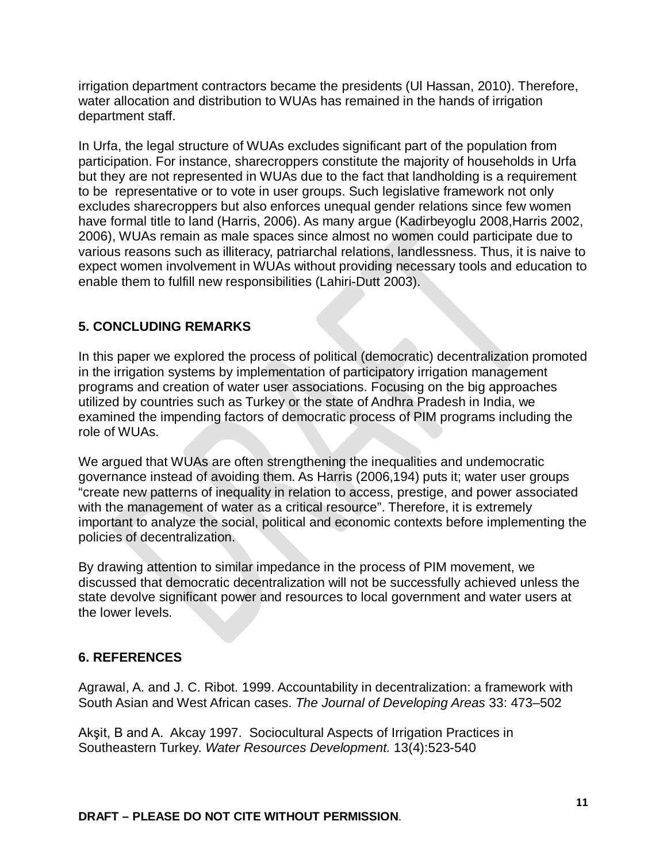irrigation department contractors became the presidents (Ul Hassan, 2010). Therefore, water allocation and distribution to WUAs has remained in the hands of irrigation department staff.

In Urfa, the legal structure of WUAs excludes significant part of the population from participation. For instance, sharecroppers constitute the majority of households in Urfa but they are not represented in WUAs due to the fact that landholding is a requirement to be representative or to vote in user groups. Such legislative framework not only excludes sharecroppers but also enforces unequal gender relations since few women have formal title to land (Harris, 2006). As many argue (Kadirbeyoglu 2008,Harris 2002, 2006), WUAs remain as male spaces since almost no women could participate due to various reasons such as illiteracy, patriarchal relations, landlessness. Thus, it is naive to expect women involvement in WUAs without providing necessary tools and education to enable them to fulfill new responsibilities (Lahiri-Dutt 2003).

# **5. CONCLUDING REMARKS**

In this paper we explored the process of political (democratic) decentralization promoted in the irrigation systems by implementation of participatory irrigation management programs and creation of water user associations. Focusing on the big approaches utilized by countries such as Turkey or the state of Andhra Pradesh in India, we examined the impending factors of democratic process of PIM programs including the role of WUAs.

We argued that WUAs are often strengthening the inequalities and undemocratic governance instead of avoiding them. As Harris (2006,194) puts it; water user groups "create new patterns of inequality in relation to access, prestige, and power associated with the management of water as a critical resource". Therefore, it is extremely important to analyze the social, political and economic contexts before implementing the policies of decentralization.

By drawing attention to similar impedance in the process of PIM movement, we discussed that democratic decentralization will not be successfully achieved unless the state devolve significant power and resources to local government and water users at the lower levels.

## **6. REFERENCES**

Agrawal, A. and J. C. Ribot. 1999. Accountability in decentralization: a framework with South Asian and West African cases. *The Journal of Developing Areas* 33: 473–502

Akşit, B and A. Akcay 1997. Sociocultural Aspects of Irrigation Practices in Southeastern Turkey. *Water Resources Development.* 13(4):523-540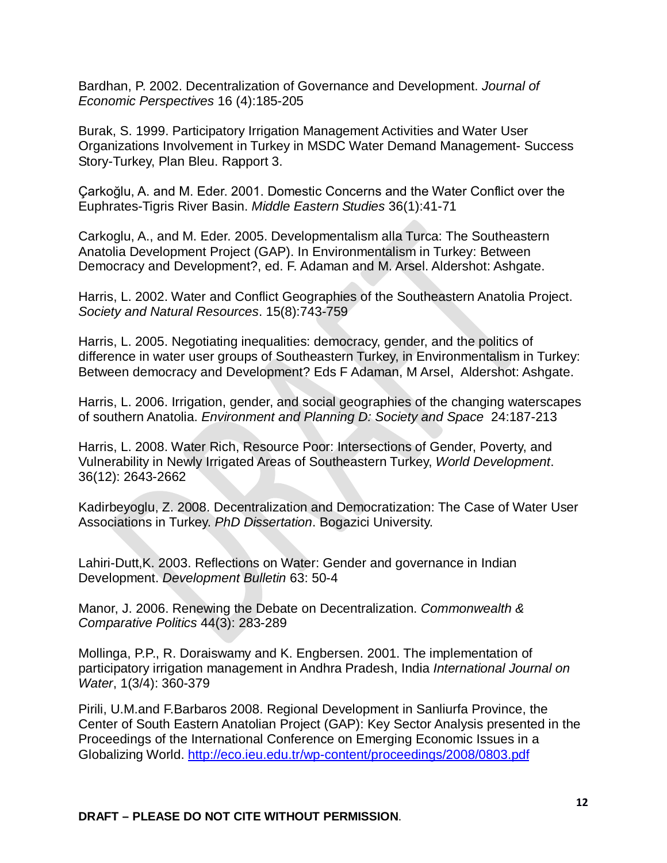Bardhan, P. 2002. Decentralization of Governance and Development. *Journal of Economic Perspectives* 16 (4):185-205

Burak, S. 1999. Participatory Irrigation Management Activities and Water User Organizations Involvement in Turkey in MSDC Water Demand Management- Success Story-Turkey, Plan Bleu. Rapport 3.

Çarkoğlu, A. and M. Eder. 2001. Domestic Concerns and the Water Conflict over the Euphrates-Tigris River Basin. *Middle Eastern Studies* 36(1):41-71

Carkoglu, A., and M. Eder. 2005. Developmentalism alla Turca: The Southeastern Anatolia Development Project (GAP). In Environmentalism in Turkey: Between Democracy and Development?, ed. F. Adaman and M. Arsel. Aldershot: Ashgate.

Harris, L. 2002. Water and Conflict Geographies of the Southeastern Anatolia Project. *Society and Natural Resources*. 15(8):743-759

Harris, L. 2005. Negotiating inequalities: democracy, gender, and the politics of difference in water user groups of Southeastern Turkey, in Environmentalism in Turkey: Between democracy and Development? Eds F Adaman, M Arsel, Aldershot: Ashgate.

Harris, L. 2006. Irrigation, gender, and social geographies of the changing waterscapes of southern Anatolia. *Environment and Planning D: Society and Space* 24:187-213

Harris, L. 2008. Water Rich, Resource Poor: Intersections of Gender, Poverty, and Vulnerability in Newly Irrigated Areas of Southeastern Turkey, *World Development*. 36(12): 2643-2662

Kadirbeyoglu, Z. 2008. Decentralization and Democratization: The Case of Water User Associations in Turkey. *PhD Dissertation*. Bogazici University.

Lahiri-Dutt,K. 2003. Reflections on Water: Gender and governance in Indian Development. *Development Bulletin* 63: 50-4

Manor, J. 2006. Renewing the Debate on Decentralization. *Commonwealth & Comparative Politics* 44(3): 283-289

Mollinga, P.P., R. Doraiswamy and K. Engbersen. 2001. The implementation of participatory irrigation management in Andhra Pradesh, India *International Journal on Water*, 1(3/4): 360-379

Pirili, U.M.and F.Barbaros 2008. Regional Development in Sanliurfa Province, the Center of South Eastern Anatolian Project (GAP): Key Sector Analysis presented in the Proceedings of the International Conference on Emerging Economic Issues in a Globalizing World.<http://eco.ieu.edu.tr/wp-content/proceedings/2008/0803.pdf>